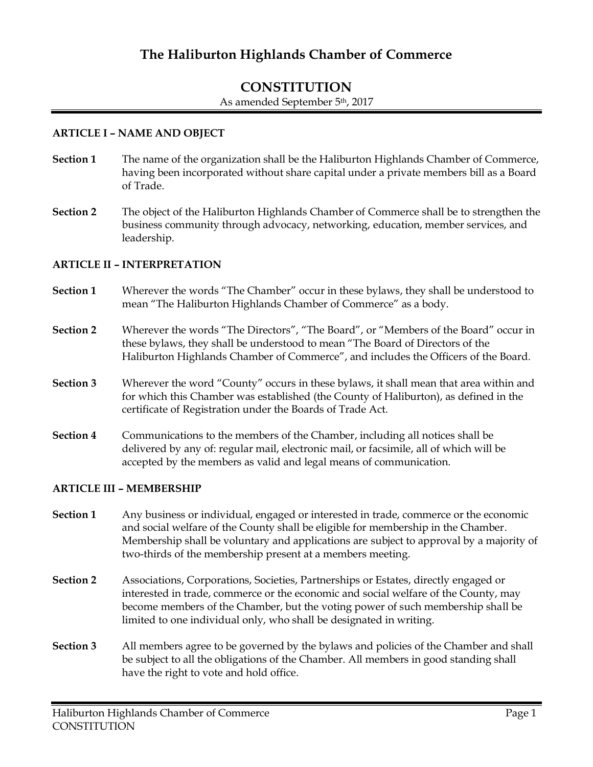# **The Haliburton Highlands Chamber of Commerce**

# **CONSTITUTION** As amended September 5th, 2017

#### **ARTICLE I – NAME AND OBJECT**

- **Section 1** The name of the organization shall be the Haliburton Highlands Chamber of Commerce, having been incorporated without share capital under a private members bill as a Board of Trade.
- **Section 2** The object of the Haliburton Highlands Chamber of Commerce shall be to strengthen the business community through advocacy, networking, education, member services, and leadership.

#### **ARTICLE II – INTERPRETATION**

- **Section 1** Wherever the words "The Chamber" occur in these bylaws, they shall be understood to mean "The Haliburton Highlands Chamber of Commerce" as a body.
- **Section 2** Wherever the words "The Directors", "The Board", or "Members of the Board" occur in these bylaws, they shall be understood to mean "The Board of Directors of the Haliburton Highlands Chamber of Commerce", and includes the Officers of the Board.
- **Section 3** Wherever the word "County" occurs in these bylaws, it shall mean that area within and for which this Chamber was established (the County of Haliburton), as defined in the certificate of Registration under the Boards of Trade Act.
- **Section 4** Communications to the members of the Chamber, including all notices shall be delivered by any of: regular mail, electronic mail, or facsimile, all of which will be accepted by the members as valid and legal means of communication.

#### **ARTICLE III – MEMBERSHIP**

- **Section 1** Any business or individual, engaged or interested in trade, commerce or the economic and social welfare of the County shall be eligible for membership in the Chamber. Membership shall be voluntary and applications are subject to approval by a majority of two-thirds of the membership present at a members meeting.
- **Section 2** Associations, Corporations, Societies, Partnerships or Estates, directly engaged or interested in trade, commerce or the economic and social welfare of the County, may become members of the Chamber, but the voting power of such membership shall be limited to one individual only, who shall be designated in writing.
- **Section 3** All members agree to be governed by the bylaws and policies of the Chamber and shall be subject to all the obligations of the Chamber. All members in good standing shall have the right to vote and hold office.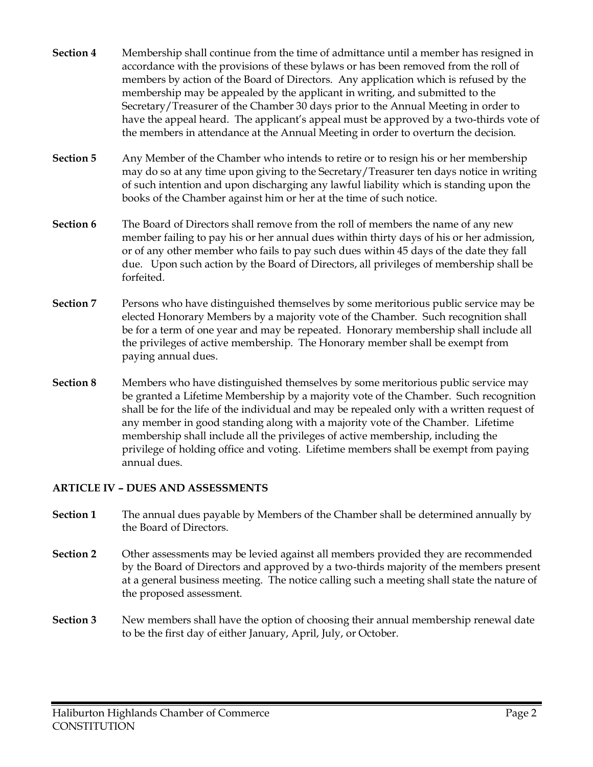- **Section 4** Membership shall continue from the time of admittance until a member has resigned in accordance with the provisions of these bylaws or has been removed from the roll of members by action of the Board of Directors. Any application which is refused by the membership may be appealed by the applicant in writing, and submitted to the Secretary/Treasurer of the Chamber 30 days prior to the Annual Meeting in order to have the appeal heard. The applicant's appeal must be approved by a two-thirds vote of the members in attendance at the Annual Meeting in order to overturn the decision.
- **Section 5** Any Member of the Chamber who intends to retire or to resign his or her membership may do so at any time upon giving to the Secretary/Treasurer ten days notice in writing of such intention and upon discharging any lawful liability which is standing upon the books of the Chamber against him or her at the time of such notice.
- **Section 6** The Board of Directors shall remove from the roll of members the name of any new member failing to pay his or her annual dues within thirty days of his or her admission, or of any other member who fails to pay such dues within 45 days of the date they fall due. Upon such action by the Board of Directors, all privileges of membership shall be forfeited.
- **Section 7** Persons who have distinguished themselves by some meritorious public service may be elected Honorary Members by a majority vote of the Chamber. Such recognition shall be for a term of one year and may be repeated. Honorary membership shall include all the privileges of active membership. The Honorary member shall be exempt from paying annual dues.
- **Section 8** Members who have distinguished themselves by some meritorious public service may be granted a Lifetime Membership by a majority vote of the Chamber. Such recognition shall be for the life of the individual and may be repealed only with a written request of any member in good standing along with a majority vote of the Chamber. Lifetime membership shall include all the privileges of active membership, including the privilege of holding office and voting. Lifetime members shall be exempt from paying annual dues.

# **ARTICLE IV – DUES AND ASSESSMENTS**

- **Section 1** The annual dues payable by Members of the Chamber shall be determined annually by the Board of Directors.
- **Section 2** Other assessments may be levied against all members provided they are recommended by the Board of Directors and approved by a two-thirds majority of the members present at a general business meeting. The notice calling such a meeting shall state the nature of the proposed assessment.
- **Section 3** New members shall have the option of choosing their annual membership renewal date to be the first day of either January, April, July, or October.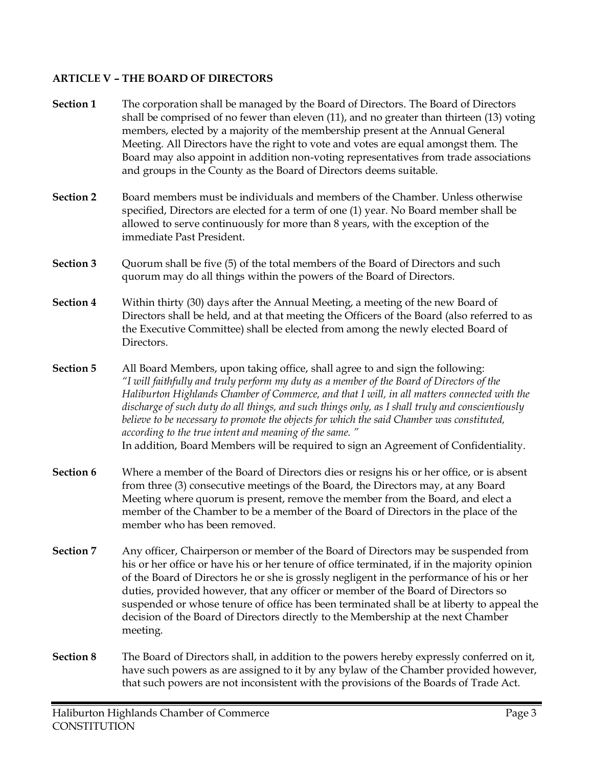# **ARTICLE V – THE BOARD OF DIRECTORS**

| Section 1        | The corporation shall be managed by the Board of Directors. The Board of Directors<br>shall be comprised of no fewer than eleven (11), and no greater than thirteen (13) voting<br>members, elected by a majority of the membership present at the Annual General<br>Meeting. All Directors have the right to vote and votes are equal amongst them. The<br>Board may also appoint in addition non-voting representatives from trade associations<br>and groups in the County as the Board of Directors deems suitable.                                                                                                        |
|------------------|--------------------------------------------------------------------------------------------------------------------------------------------------------------------------------------------------------------------------------------------------------------------------------------------------------------------------------------------------------------------------------------------------------------------------------------------------------------------------------------------------------------------------------------------------------------------------------------------------------------------------------|
| <b>Section 2</b> | Board members must be individuals and members of the Chamber. Unless otherwise<br>specified, Directors are elected for a term of one (1) year. No Board member shall be<br>allowed to serve continuously for more than 8 years, with the exception of the<br>immediate Past President.                                                                                                                                                                                                                                                                                                                                         |
| Section 3        | Quorum shall be five (5) of the total members of the Board of Directors and such<br>quorum may do all things within the powers of the Board of Directors.                                                                                                                                                                                                                                                                                                                                                                                                                                                                      |
| Section 4        | Within thirty (30) days after the Annual Meeting, a meeting of the new Board of<br>Directors shall be held, and at that meeting the Officers of the Board (also referred to as<br>the Executive Committee) shall be elected from among the newly elected Board of<br>Directors.                                                                                                                                                                                                                                                                                                                                                |
| <b>Section 5</b> | All Board Members, upon taking office, shall agree to and sign the following:<br>"I will faithfully and truly perform my duty as a member of the Board of Directors of the<br>Haliburton Highlands Chamber of Commerce, and that I will, in all matters connected with the<br>discharge of such duty do all things, and such things only, as I shall truly and conscientiously<br>believe to be necessary to promote the objects for which the said Chamber was constituted,<br>according to the true intent and meaning of the same."<br>In addition, Board Members will be required to sign an Agreement of Confidentiality. |
| Section 6        | Where a member of the Board of Directors dies or resigns his or her office, or is absent<br>from three (3) consecutive meetings of the Board, the Directors may, at any Board<br>Meeting where quorum is present, remove the member from the Board, and elect a<br>member of the Chamber to be a member of the Board of Directors in the place of the<br>member who has been removed.                                                                                                                                                                                                                                          |
| <b>Section 7</b> | Any officer, Chairperson or member of the Board of Directors may be suspended from<br>his or her office or have his or her tenure of office terminated, if in the majority opinion<br>of the Board of Directors he or she is grossly negligent in the performance of his or her<br>duties, provided however, that any officer or member of the Board of Directors so<br>suspended or whose tenure of office has been terminated shall be at liberty to appeal the<br>decision of the Board of Directors directly to the Membership at the next Chamber<br>meeting.                                                             |
| <b>Section 8</b> | The Board of Directors shall, in addition to the powers hereby expressly conferred on it,<br>have such powers as are assigned to it by any bylaw of the Chamber provided however,<br>that such powers are not inconsistent with the provisions of the Boards of Trade Act.                                                                                                                                                                                                                                                                                                                                                     |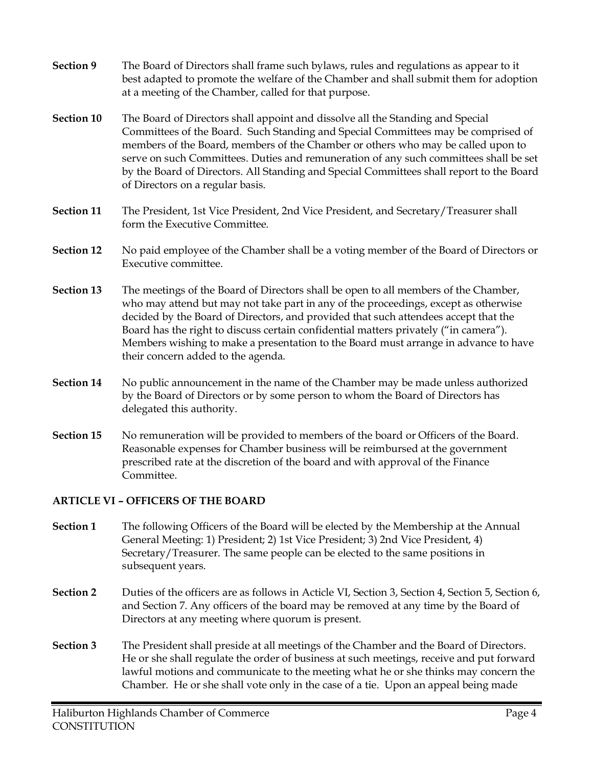- **Section 9** The Board of Directors shall frame such bylaws, rules and regulations as appear to it best adapted to promote the welfare of the Chamber and shall submit them for adoption at a meeting of the Chamber, called for that purpose.
- **Section 10** The Board of Directors shall appoint and dissolve all the Standing and Special Committees of the Board. Such Standing and Special Committees may be comprised of members of the Board, members of the Chamber or others who may be called upon to serve on such Committees. Duties and remuneration of any such committees shall be set by the Board of Directors. All Standing and Special Committees shall report to the Board of Directors on a regular basis.
- **Section 11** The President, 1st Vice President, 2nd Vice President, and Secretary/Treasurer shall form the Executive Committee.
- **Section 12** No paid employee of the Chamber shall be a voting member of the Board of Directors or Executive committee.
- **Section 13** The meetings of the Board of Directors shall be open to all members of the Chamber, who may attend but may not take part in any of the proceedings, except as otherwise decided by the Board of Directors, and provided that such attendees accept that the Board has the right to discuss certain confidential matters privately ("in camera"). Members wishing to make a presentation to the Board must arrange in advance to have their concern added to the agenda.
- **Section 14** No public announcement in the name of the Chamber may be made unless authorized by the Board of Directors or by some person to whom the Board of Directors has delegated this authority.
- **Section 15** No remuneration will be provided to members of the board or Officers of the Board. Reasonable expenses for Chamber business will be reimbursed at the government prescribed rate at the discretion of the board and with approval of the Finance Committee.

# **ARTICLE VI – OFFICERS OF THE BOARD**

- **Section 1** The following Officers of the Board will be elected by the Membership at the Annual General Meeting: 1) President; 2) 1st Vice President; 3) 2nd Vice President, 4) Secretary/Treasurer. The same people can be elected to the same positions in subsequent years.
- **Section 2** Duties of the officers are as follows in Acticle VI, Section 3, Section 4, Section 5, Section 6, and Section 7. Any officers of the board may be removed at any time by the Board of Directors at any meeting where quorum is present.
- **Section 3** The President shall preside at all meetings of the Chamber and the Board of Directors. He or she shall regulate the order of business at such meetings, receive and put forward lawful motions and communicate to the meeting what he or she thinks may concern the Chamber. He or she shall vote only in the case of a tie. Upon an appeal being made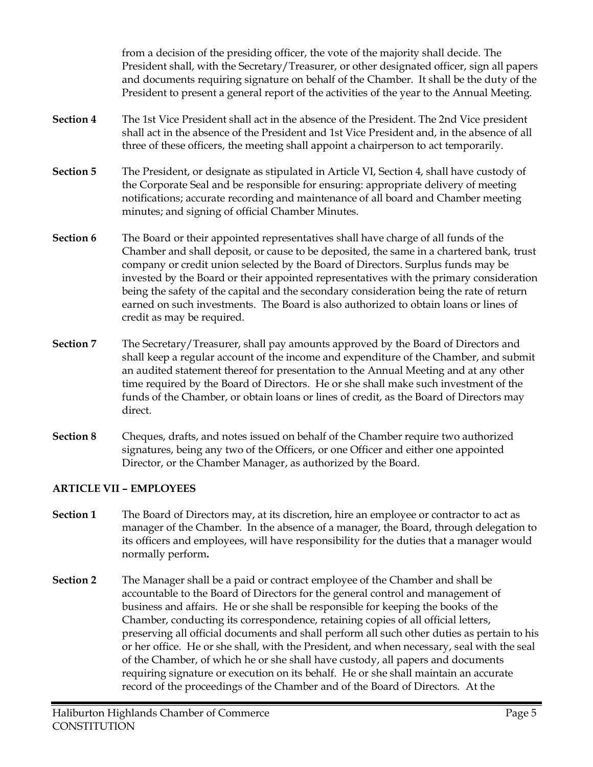from a decision of the presiding officer, the vote of the majority shall decide. The President shall, with the Secretary/Treasurer, or other designated officer, sign all papers and documents requiring signature on behalf of the Chamber. It shall be the duty of the President to present a general report of the activities of the year to the Annual Meeting.

- **Section 4** The 1st Vice President shall act in the absence of the President. The 2nd Vice president shall act in the absence of the President and 1st Vice President and, in the absence of all three of these officers, the meeting shall appoint a chairperson to act temporarily.
- **Section 5** The President, or designate as stipulated in Article VI, Section 4, shall have custody of the Corporate Seal and be responsible for ensuring: appropriate delivery of meeting notifications; accurate recording and maintenance of all board and Chamber meeting minutes; and signing of official Chamber Minutes.
- **Section 6** The Board or their appointed representatives shall have charge of all funds of the Chamber and shall deposit, or cause to be deposited, the same in a chartered bank, trust company or credit union selected by the Board of Directors. Surplus funds may be invested by the Board or their appointed representatives with the primary consideration being the safety of the capital and the secondary consideration being the rate of return earned on such investments. The Board is also authorized to obtain loans or lines of credit as may be required.
- **Section 7** The Secretary/Treasurer, shall pay amounts approved by the Board of Directors and shall keep a regular account of the income and expenditure of the Chamber, and submit an audited statement thereof for presentation to the Annual Meeting and at any other time required by the Board of Directors. He or she shall make such investment of the funds of the Chamber, or obtain loans or lines of credit, as the Board of Directors may direct.
- **Section 8** Cheques, drafts, and notes issued on behalf of the Chamber require two authorized signatures, being any two of the Officers, or one Officer and either one appointed Director, or the Chamber Manager, as authorized by the Board.

# **ARTICLE VII – EMPLOYEES**

- **Section 1** The Board of Directors may, at its discretion, hire an employee or contractor to act as manager of the Chamber. In the absence of a manager, the Board, through delegation to its officers and employees, will have responsibility for the duties that a manager would normally perform**.**
- **Section 2** The Manager shall be a paid or contract employee of the Chamber and shall be accountable to the Board of Directors for the general control and management of business and affairs. He or she shall be responsible for keeping the books of the Chamber, conducting its correspondence, retaining copies of all official letters, preserving all official documents and shall perform all such other duties as pertain to his or her office. He or she shall, with the President, and when necessary, seal with the seal of the Chamber, of which he or she shall have custody, all papers and documents requiring signature or execution on its behalf. He or she shall maintain an accurate record of the proceedings of the Chamber and of the Board of Directors. At the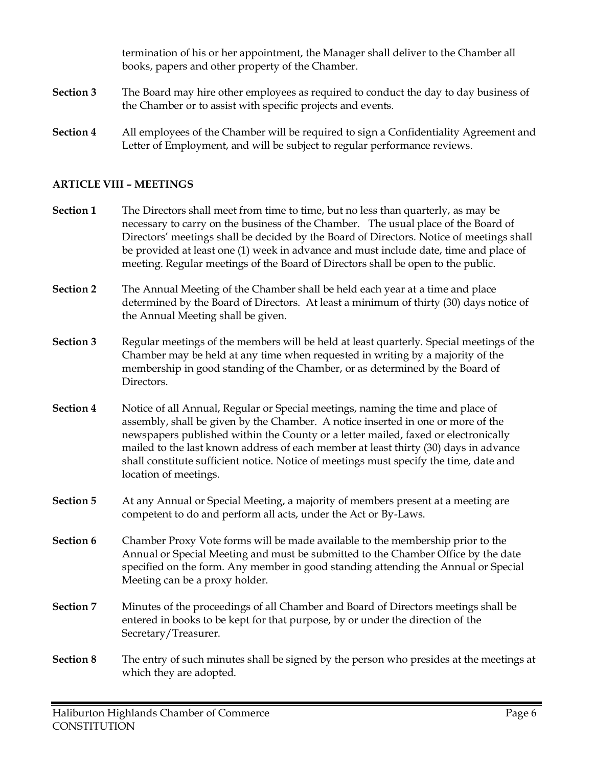termination of his or her appointment, the Manager shall deliver to the Chamber all books, papers and other property of the Chamber.

- **Section 3** The Board may hire other employees as required to conduct the day to day business of the Chamber or to assist with specific projects and events.
- **Section 4** All employees of the Chamber will be required to sign a Confidentiality Agreement and Letter of Employment, and will be subject to regular performance reviews.

# **ARTICLE VIII – MEETINGS**

- **Section 1** The Directors shall meet from time to time, but no less than quarterly, as may be necessary to carry on the business of the Chamber. The usual place of the Board of Directors' meetings shall be decided by the Board of Directors. Notice of meetings shall be provided at least one (1) week in advance and must include date, time and place of meeting. Regular meetings of the Board of Directors shall be open to the public.
- **Section 2** The Annual Meeting of the Chamber shall be held each year at a time and place determined by the Board of Directors. At least a minimum of thirty (30) days notice of the Annual Meeting shall be given.
- **Section 3** Regular meetings of the members will be held at least quarterly. Special meetings of the Chamber may be held at any time when requested in writing by a majority of the membership in good standing of the Chamber, or as determined by the Board of Directors.
- **Section 4** Notice of all Annual, Regular or Special meetings, naming the time and place of assembly, shall be given by the Chamber. A notice inserted in one or more of the newspapers published within the County or a letter mailed, faxed or electronically mailed to the last known address of each member at least thirty (30) days in advance shall constitute sufficient notice. Notice of meetings must specify the time, date and location of meetings.
- **Section 5** At any Annual or Special Meeting, a majority of members present at a meeting are competent to do and perform all acts, under the Act or By-Laws.
- **Section 6** Chamber Proxy Vote forms will be made available to the membership prior to the Annual or Special Meeting and must be submitted to the Chamber Office by the date specified on the form. Any member in good standing attending the Annual or Special Meeting can be a proxy holder.
- **Section 7** Minutes of the proceedings of all Chamber and Board of Directors meetings shall be entered in books to be kept for that purpose, by or under the direction of the Secretary/Treasurer.
- **Section 8** The entry of such minutes shall be signed by the person who presides at the meetings at which they are adopted.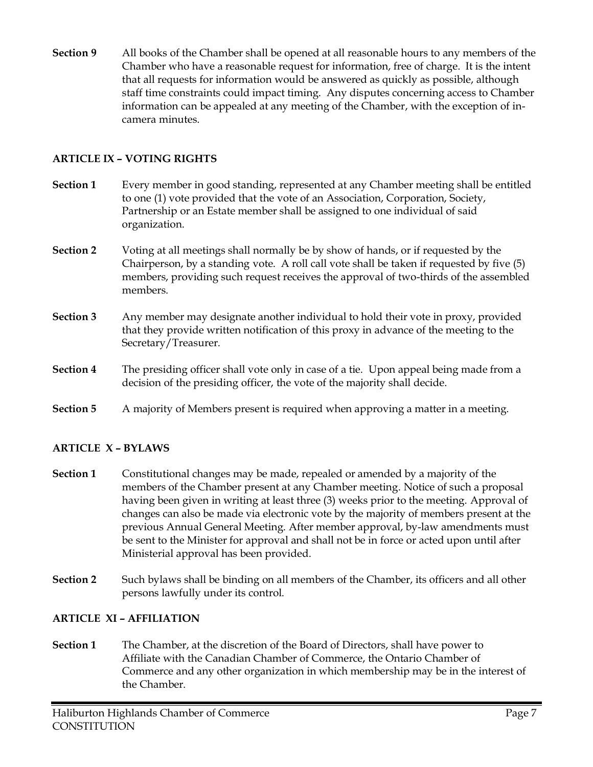**Section 9** All books of the Chamber shall be opened at all reasonable hours to any members of the Chamber who have a reasonable request for information, free of charge. It is the intent that all requests for information would be answered as quickly as possible, although staff time constraints could impact timing. Any disputes concerning access to Chamber information can be appealed at any meeting of the Chamber, with the exception of incamera minutes.

# **ARTICLE IX – VOTING RIGHTS**

- **Section 1** Every member in good standing, represented at any Chamber meeting shall be entitled to one (1) vote provided that the vote of an Association, Corporation, Society, Partnership or an Estate member shall be assigned to one individual of said organization.
- **Section 2** Voting at all meetings shall normally be by show of hands, or if requested by the Chairperson, by a standing vote. A roll call vote shall be taken if requested by five (5) members, providing such request receives the approval of two-thirds of the assembled members.
- **Section 3** Any member may designate another individual to hold their vote in proxy, provided that they provide written notification of this proxy in advance of the meeting to the Secretary/Treasurer.
- **Section 4** The presiding officer shall vote only in case of a tie. Upon appeal being made from a decision of the presiding officer, the vote of the majority shall decide.
- **Section 5** A majority of Members present is required when approving a matter in a meeting.

#### **ARTICLE X – BYLAWS**

- **Section 1** Constitutional changes may be made, repealed or amended by a majority of the members of the Chamber present at any Chamber meeting. Notice of such a proposal having been given in writing at least three (3) weeks prior to the meeting. Approval of changes can also be made via electronic vote by the majority of members present at the previous Annual General Meeting. After member approval, by-law amendments must be sent to the Minister for approval and shall not be in force or acted upon until after Ministerial approval has been provided.
- **Section 2** Such bylaws shall be binding on all members of the Chamber, its officers and all other persons lawfully under its control.

#### **ARTICLE XI – AFFILIATION**

**Section 1** The Chamber, at the discretion of the Board of Directors, shall have power to Affiliate with the Canadian Chamber of Commerce, the Ontario Chamber of Commerce and any other organization in which membership may be in the interest of the Chamber.